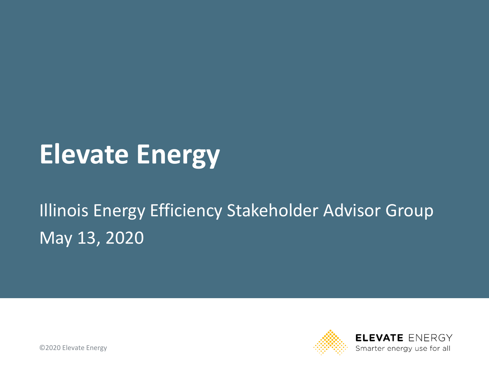# **Elevate Energy**

### Illinois Energy Efficiency Stakeholder Advisor Group May 13, 2020

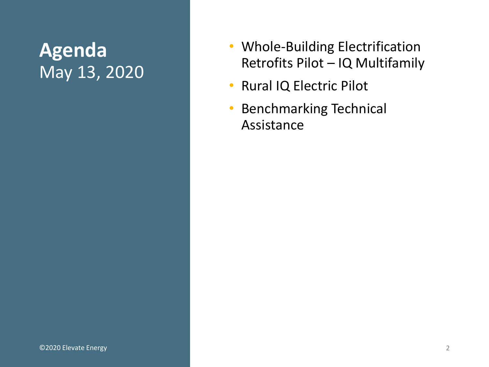#### **Agenda** May 13, 2020

- Whole-Building Electrification Retrofits Pilot – IQ Multifamily
- Rural IQ Electric Pilot
- Benchmarking Technical Assistance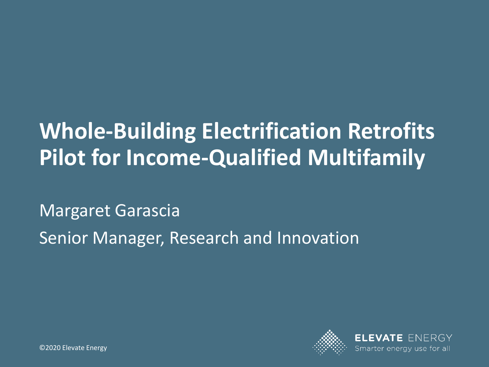## **Whole-Building Electrification Retrofits Pilot for Income-Qualified Multifamily**

Margaret Garascia Senior Manager, Research and Innovation

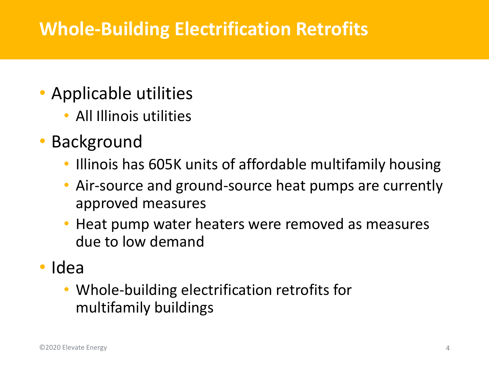#### **Whole-Building Electrification Retrofits**

- Applicable utilities
	- All Illinois utilities
- **Background** 
	- Illinois has 605K units of affordable multifamily housing
	- Air-source and ground-source heat pumps are currently approved measures
	- Heat pump water heaters were removed as measures due to low demand
- Idea
	- Whole-building electrification retrofits for multifamily buildings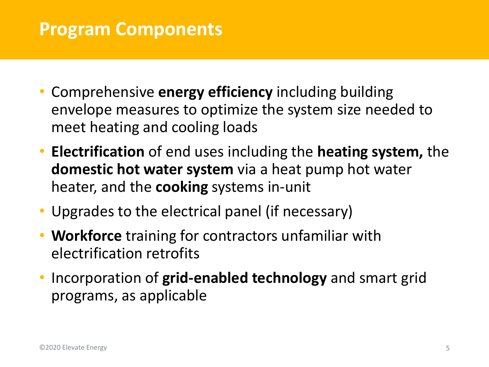#### **Program Components**

- Comprehensive **energy efficiency** including building envelope measures to optimize the system size needed to meet heating and cooling loads
- **Electrification** of end uses including the **heating system,** the **domestic hot water system** via a heat pump hot water heater, and the **cooking** systems in-unit
- Upgrades to the electrical panel (if necessary)
- **Workforce** training for contractors unfamiliar with electrification retrofits
- Incorporation of **grid-enabled technology** and smart grid programs, as applicable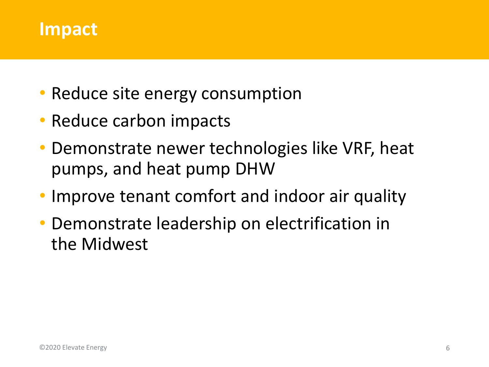

- Reduce site energy consumption
- Reduce carbon impacts
- Demonstrate newer technologies like VRF, heat pumps, and heat pump DHW
- Improve tenant comfort and indoor air quality
- Demonstrate leadership on electrification in the Midwest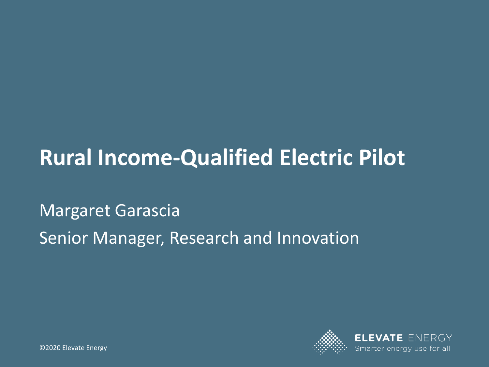## **Rural Income-Qualified Electric Pilot**

Margaret Garascia Senior Manager, Research and Innovation

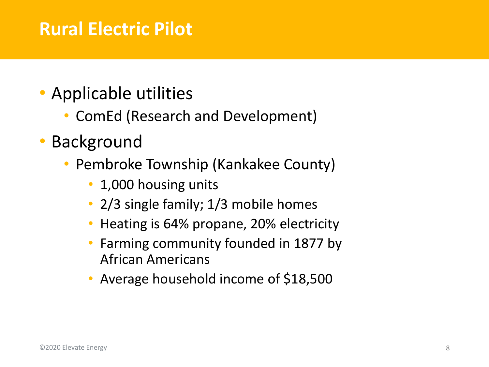#### **Rural Electric Pilot**

- Applicable utilities
	- ComEd (Research and Development)
- **Background** 
	- Pembroke Township (Kankakee County)
		- 1,000 housing units
		- 2/3 single family; 1/3 mobile homes
		- Heating is 64% propane, 20% electricity
		- Farming community founded in 1877 by African Americans
		- Average household income of \$18,500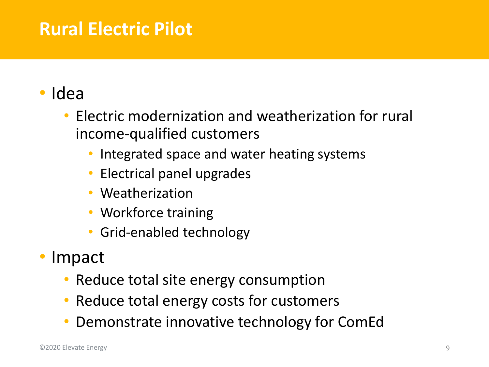### **Rural Electric Pilot**

#### • Idea

- Electric modernization and weatherization for rural income-qualified customers
	- Integrated space and water heating systems
	- Electrical panel upgrades
	- Weatherization
	- Workforce training
	- Grid-enabled technology
- Impact
	- Reduce total site energy consumption
	- Reduce total energy costs for customers
	- Demonstrate innovative technology for ComEd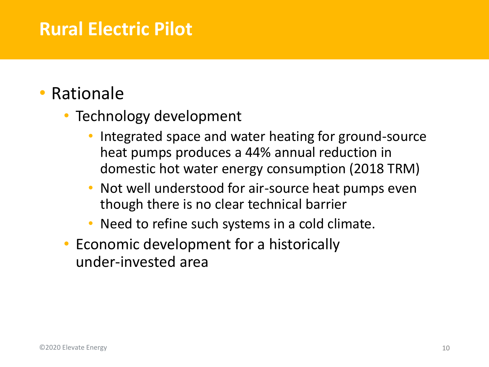#### **Rural Electric Pilot**

#### **Rationale**

- Technology development
	- Integrated space and water heating for ground-source heat pumps produces a 44% annual reduction in domestic hot water energy consumption (2018 TRM)
	- Not well understood for air-source heat pumps even though there is no clear technical barrier
	- Need to refine such systems in a cold climate.
- Economic development for a historically under-invested area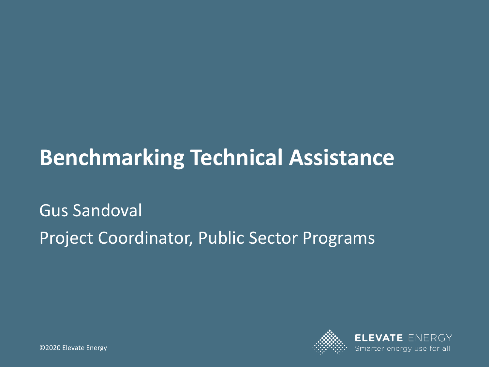## **Benchmarking Technical Assistance**

### Gus Sandoval Project Coordinator, Public Sector Programs

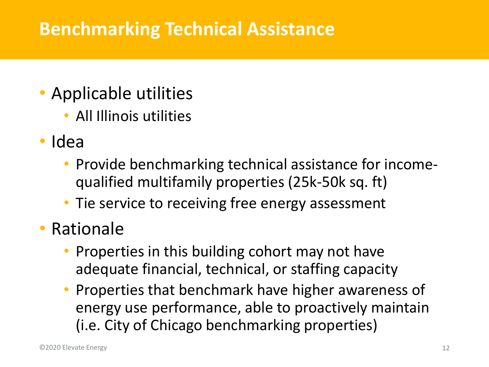#### **Benchmarking Technical Assistance**

- Applicable utilities
	- All Illinois utilities
- Idea
	- Provide benchmarking technical assistance for incomequalified multifamily properties (25k-50k sq. ft)
	- Tie service to receiving free energy assessment
- Rationale
	- Properties in this building cohort may not have adequate financial, technical, or staffing capacity
	- Properties that benchmark have higher awareness of energy use performance, able to proactively maintain (i.e. City of Chicago benchmarking properties)